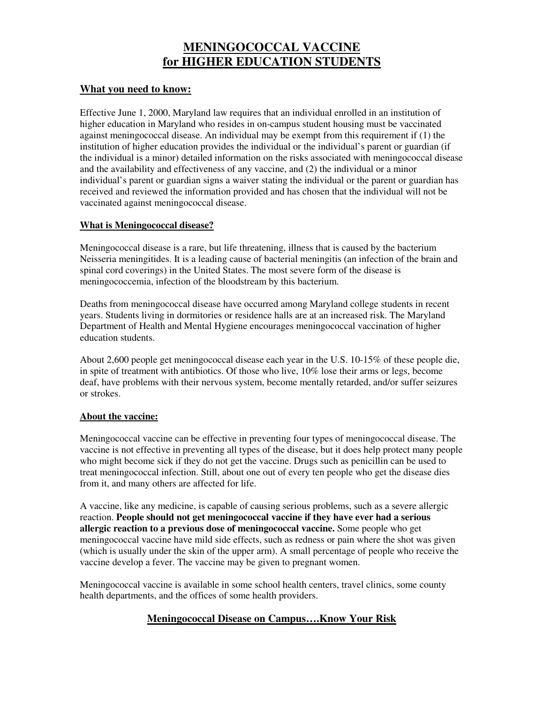# **MENINGOCOCCAL VACCINE for HIGHER EDUCATION STUDENTS**

### **What you need to know:**

Effective June 1, 2000, Maryland law requires that an individual enrolled in an institution of higher education in Maryland who resides in on-campus student housing must be vaccinated against meningococcal disease. An individual may be exempt from this requirement if (1) the institution of higher education provides the individual or the individual's parent or guardian (if the individual is a minor) detailed information on the risks associated with meningococcal disease and the availability and effectiveness of any vaccine, and (2) the individual or a minor individual's parent or guardian signs a waiver stating the individual or the parent or guardian has received and reviewed the information provided and has chosen that the individual will not be vaccinated against meningococcal disease.

#### **What is Meningococcal disease?**

Meningococcal disease is a rare, but life threatening, illness that is caused by the bacterium Neisseria meningitides. It is a leading cause of bacterial meningitis (an infection of the brain and spinal cord coverings) in the United States. The most severe form of the disease is meningococcemia, infection of the bloodstream by this bacterium.

Deaths from meningococcal disease have occurred among Maryland college students in recent years. Students living in dormitories or residence halls are at an increased risk. The Maryland Department of Health and Mental Hygiene encourages meningococcal vaccination of higher education students.

About 2,600 people get meningococcal disease each year in the U.S. 10-15% of these people die, in spite of treatment with antibiotics. Of those who live, 10% lose their arms or legs, become deaf, have problems with their nervous system, become mentally retarded, and/or suffer seizures or strokes.

#### **About the vaccine:**

Meningococcal vaccine can be effective in preventing four types of meningococcal disease. The vaccine is not effective in preventing all types of the disease, but it does help protect many people who might become sick if they do not get the vaccine. Drugs such as penicillin can be used to treat meningococcal infection. Still, about one out of every ten people who get the disease dies from it, and many others are affected for life.

A vaccine, like any medicine, is capable of causing serious problems, such as a severe allergic reaction. **People should not get meningococcal vaccine if they have ever had a serious allergic reaction to a previous dose of meningococcal vaccine.** Some people who get meningococcal vaccine have mild side effects, such as redness or pain where the shot was given (which is usually under the skin of the upper arm). A small percentage of people who receive the vaccine develop a fever. The vaccine may be given to pregnant women.

Meningococcal vaccine is available in some school health centers, travel clinics, some county health departments, and the offices of some health providers.

## **Meningococcal Disease on Campus….Know Your Risk**